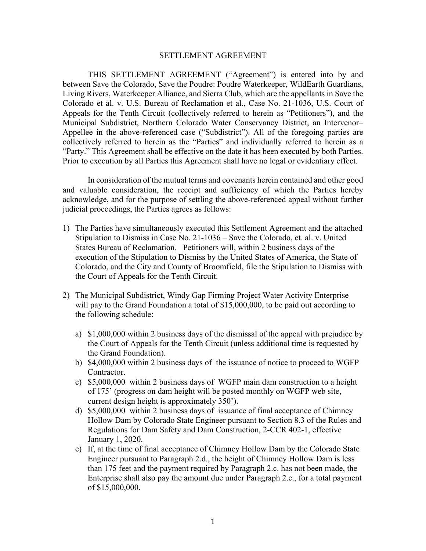## SETTLEMENT AGREEMENT

THIS SETTLEMENT AGREEMENT ("Agreement") is entered into by and between Save the Colorado, Save the Poudre: Poudre Waterkeeper, WildEarth Guardians, Living Rivers, Waterkeeper Alliance, and Sierra Club, which are the appellants in Save the Colorado et al. v. U.S. Bureau of Reclamation et al., Case No. 21-1036, U.S. Court of Appeals for the Tenth Circuit (collectively referred to herein as "Petitioners"), and the Municipal Subdistrict, Northern Colorado Water Conservancy District, an Intervenor– Appellee in the above-referenced case ("Subdistrict"). All of the foregoing parties are collectively referred to herein as the "Parties" and individually referred to herein as a "Party." This Agreement shall be effective on the date it has been executed by both Parties. Prior to execution by all Parties this Agreement shall have no legal or evidentiary effect.

In consideration of the mutual terms and covenants herein contained and other good and valuable consideration, the receipt and sufficiency of which the Parties hereby acknowledge, and for the purpose of settling the above-referenced appeal without further judicial proceedings, the Parties agrees as follows:

- 1) The Parties have simultaneously executed this Settlement Agreement and the attached Stipulation to Dismiss in Case No. 21-1036 – Save the Colorado, et. al. v. United States Bureau of Reclamation. Petitioners will, within 2 business days of the execution of the Stipulation to Dismiss by the United States of America, the State of Colorado, and the City and County of Broomfield, file the Stipulation to Dismiss with the Court of Appeals for the Tenth Circuit.
- 2) The Municipal Subdistrict, Windy Gap Firming Project Water Activity Enterprise will pay to the Grand Foundation a total of \$15,000,000, to be paid out according to the following schedule:
	- a) \$1,000,000 within 2 business days of the dismissal of the appeal with prejudice by the Court of Appeals for the Tenth Circuit (unless additional time is requested by the Grand Foundation).
	- b) \$4,000,000 within 2 business days of the issuance of notice to proceed to WGFP Contractor.
	- c) \$5,000,000 within 2 business days of WGFP main dam construction to a height of 175' (progress on dam height will be posted monthly on WGFP web site, current design height is approximately 350').
	- d) \$5,000,000 within 2 business days of issuance of final acceptance of Chimney Hollow Dam by Colorado State Engineer pursuant to Section 8.3 of the Rules and Regulations for Dam Safety and Dam Construction, 2-CCR 402-1, effective January 1, 2020.
	- e) If, at the time of final acceptance of Chimney Hollow Dam by the Colorado State Engineer pursuant to Paragraph 2.d., the height of Chimney Hollow Dam is less than 175 feet and the payment required by Paragraph 2.c. has not been made, the Enterprise shall also pay the amount due under Paragraph 2.c., for a total payment of \$15,000,000.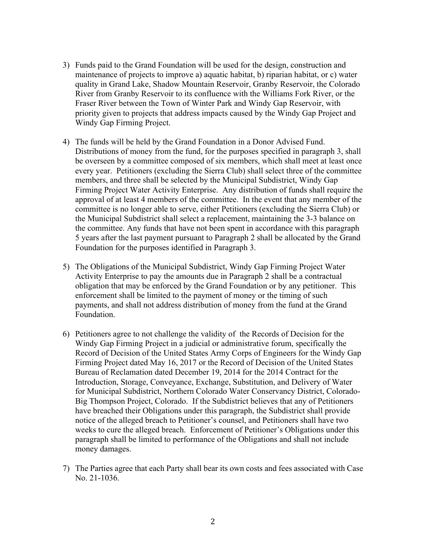- 3) Funds paid to the Grand Foundation will be used for the design, construction and maintenance of projects to improve a) aquatic habitat, b) riparian habitat, or c) water quality in Grand Lake, Shadow Mountain Reservoir, Granby Reservoir, the Colorado River from Granby Reservoir to its confluence with the Williams Fork River, or the Fraser River between the Town of Winter Park and Windy Gap Reservoir, with priority given to projects that address impacts caused by the Windy Gap Project and Windy Gap Firming Project.
- 4) The funds will be held by the Grand Foundation in a Donor Advised Fund. Distributions of money from the fund, for the purposes specified in paragraph 3, shall be overseen by a committee composed of six members, which shall meet at least once every year. Petitioners (excluding the Sierra Club) shall select three of the committee members, and three shall be selected by the Municipal Subdistrict, Windy Gap Firming Project Water Activity Enterprise. Any distribution of funds shall require the approval of at least 4 members of the committee. In the event that any member of the committee is no longer able to serve, either Petitioners (excluding the Sierra Club) or the Municipal Subdistrict shall select a replacement, maintaining the 3-3 balance on the committee. Any funds that have not been spent in accordance with this paragraph 5 years after the last payment pursuant to Paragraph 2 shall be allocated by the Grand Foundation for the purposes identified in Paragraph 3.
- 5) The Obligations of the Municipal Subdistrict, Windy Gap Firming Project Water Activity Enterprise to pay the amounts due in Paragraph 2 shall be a contractual obligation that may be enforced by the Grand Foundation or by any petitioner. This enforcement shall be limited to the payment of money or the timing of such payments, and shall not address distribution of money from the fund at the Grand Foundation.
- 6) Petitioners agree to not challenge the validity of the Records of Decision for the Windy Gap Firming Project in a judicial or administrative forum, specifically the Record of Decision of the United States Army Corps of Engineers for the Windy Gap Firming Project dated May 16, 2017 or the Record of Decision of the United States Bureau of Reclamation dated December 19, 2014 for the 2014 Contract for the Introduction, Storage, Conveyance, Exchange, Substitution, and Delivery of Water for Municipal Subdistrict, Northern Colorado Water Conservancy District, Colorado-Big Thompson Project, Colorado. If the Subdistrict believes that any of Petitioners have breached their Obligations under this paragraph, the Subdistrict shall provide notice of the alleged breach to Petitioner's counsel, and Petitioners shall have two weeks to cure the alleged breach. Enforcement of Petitioner's Obligations under this paragraph shall be limited to performance of the Obligations and shall not include money damages.
- 7) The Parties agree that each Party shall bear its own costs and fees associated with Case No. 21-1036.